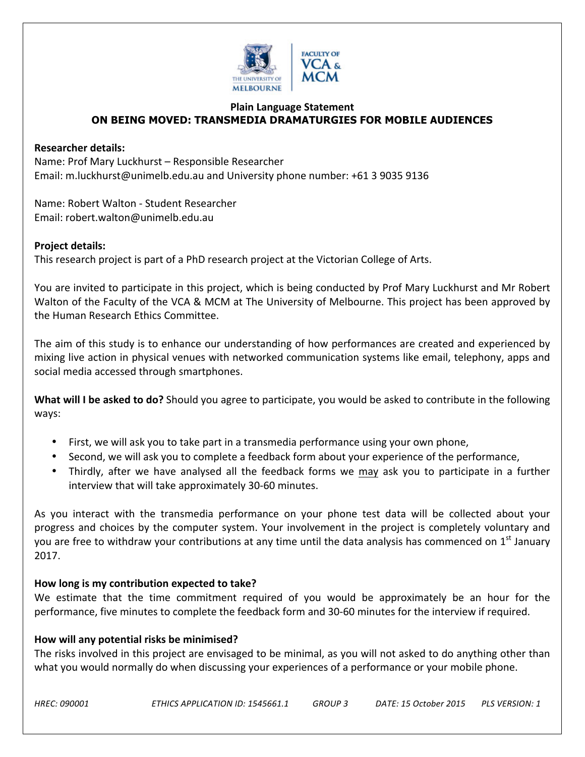

# **Plain Language Statement ON BEING MOVED: TRANSMEDIA DRAMATURGIES FOR MOBILE AUDIENCES**

# **Researcher details:**

Name: Prof Mary Luckhurst – Responsible Researcher Email: m.luckhurst@unimelb.edu.au and University phone number: +61 3 9035 9136

Name: Robert Walton - Student Researcher Email: robert.walton@unimelb.edu.au

# **Project details:**

This research project is part of a PhD research project at the Victorian College of Arts.

You are invited to participate in this project, which is being conducted by Prof Mary Luckhurst and Mr Robert Walton of the Faculty of the VCA & MCM at The University of Melbourne. This project has been approved by the Human Research Ethics Committee.

The aim of this study is to enhance our understanding of how performances are created and experienced by mixing live action in physical venues with networked communication systems like email, telephony, apps and social media accessed through smartphones.

**What will I be asked to do?** Should you agree to participate, you would be asked to contribute in the following ways: 

- First, we will ask you to take part in a transmedia performance using your own phone,
- Second, we will ask you to complete a feedback form about your experience of the performance,
- Thirdly, after we have analysed all the feedback forms we may ask you to participate in a further interview that will take approximately 30-60 minutes.

As you interact with the transmedia performance on your phone test data will be collected about your progress and choices by the computer system. Your involvement in the project is completely voluntary and you are free to withdraw your contributions at any time until the data analysis has commenced on 1<sup>st</sup> January 2017.

# How long is my contribution expected to take?

We estimate that the time commitment required of you would be approximately be an hour for the performance, five minutes to complete the feedback form and 30-60 minutes for the interview if required.

# How will any potential risks be minimised?

The risks involved in this project are envisaged to be minimal, as you will not asked to do anything other than what you would normally do when discussing your experiences of a performance or your mobile phone.